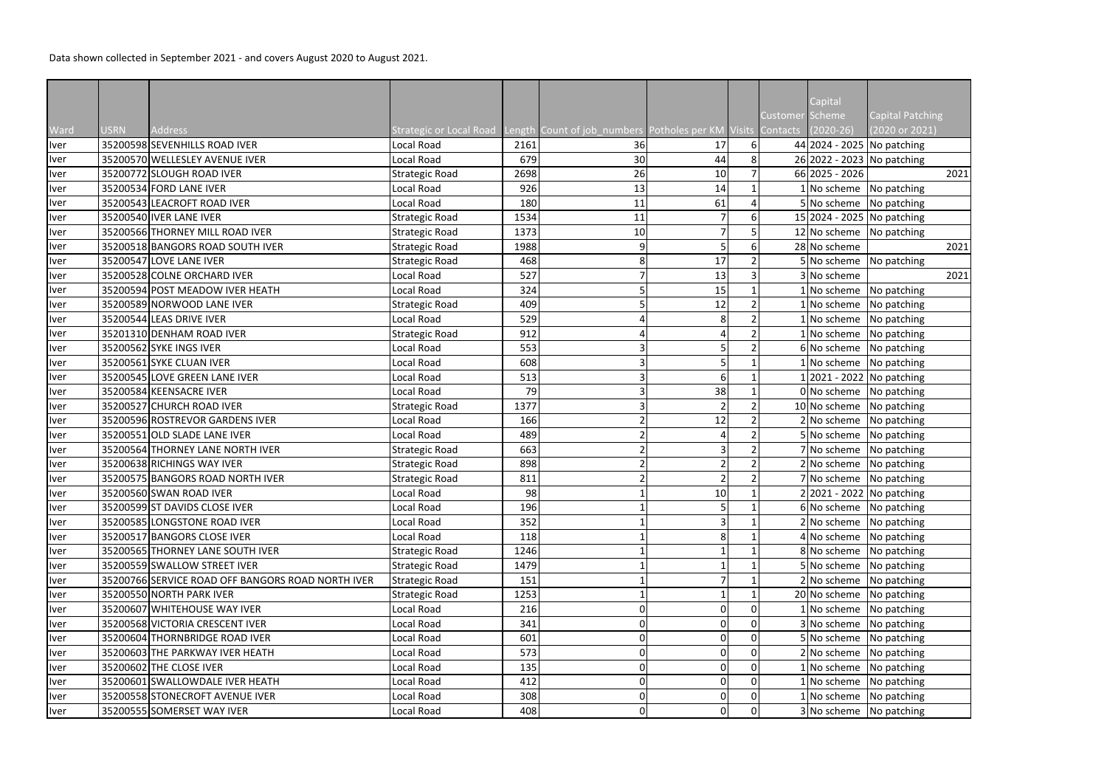Data shown collected in September 2021 - and covers August 2020 to August 2021.

| Capital Patching<br>Customer Scheme<br>Ward<br><b>Address</b><br>Strategic or Local Road Length Count of job_numbers Potholes per KM Visits Contacts (2020-26)<br>(2020 or 2021)<br><b>USRN</b><br>44 2024 - 2025 No patching<br>35200598 SEVENHILLS ROAD IVER<br><b>Iver</b><br>Local Road<br>17<br>$6 \mid$<br>2161<br>36<br>8<br>26 2022 - 2023 No patching<br>35200570 WELLESLEY AVENUE IVER<br>679<br>30<br>44<br>Iver<br>Local Road<br>66 2025 - 2026<br>35200772 SLOUGH ROAD IVER<br>2698<br>26<br>10<br>2021<br>Iver<br><b>Strategic Road</b><br>35200534 FORD LANE IVER<br>1 No scheme No patching<br>926<br>13<br>14<br>Local Road<br><b>Iver</b><br>61<br>35200543 LEACROFT ROAD IVER<br>5 No scheme No patching<br>180<br>Local Road<br>11<br><b>Iver</b><br>Iver<br>15 2024 - 2025 No patching<br>35200540 IVER LANE IVER<br>1534<br><b>Strategic Road</b><br>11<br>6<br>35200566 THORNEY MILL ROAD IVER<br>12 No scheme No patching<br><b>Strategic Road</b><br>1373<br>10<br>Iver<br>28 No scheme<br>35200518 BANGORS ROAD SOUTH IVER<br>1988<br>5<br>2021<br>Iver<br><b>Strategic Road</b><br>6<br>q<br>5 No scheme No patching<br>35200547 LOVE LANE IVER<br><b>Strategic Road</b><br>468<br>17<br>8<br>Iver<br>13<br>3 No scheme<br>35200528 COLNE ORCHARD IVER<br>527<br>Iver<br>Local Road<br>2021<br>Iver<br>1 No scheme No patching<br>35200594 POST MEADOW IVER HEATH<br>Local Road<br>324<br>15<br>12<br>35200589 NORWOOD LANE IVER<br>$1$ No scheme No patching<br>409<br>Iver<br><b>Strategic Road</b><br>529<br>35200544 LEAS DRIVE IVER<br>8<br>$1$ No scheme No patching<br>Local Road<br>Iver<br>35201310 DENHAM ROAD IVER<br><b>Strategic Road</b><br>912<br>1 No scheme No patching<br>Iver<br>4<br>35200562 SYKE INGS IVER<br>6 No scheme No patching<br>Local Road<br>553<br>Iver<br>35200561 SYKE CLUAN IVER<br>608<br>5<br>1 No scheme No patching<br>Local Road<br>35200545 LOVE GREEN LANE IVER<br>1 2021 - 2022   No patching<br>Local Road<br>6<br>Iver<br>513<br>38<br>0 No scheme No patching<br>35200584 KEENSACRE IVER<br>79<br>Local Road<br>Iver<br>35200527 CHURCH ROAD IVER<br>$\overline{2}$<br>1377<br>10 No scheme No patching<br><b>Strategic Road</b><br>Iver<br>12<br>2 No scheme No patching<br>35200596 ROSTREVOR GARDENS IVER<br>Local Road<br>166<br>Iver<br>Iver<br>35200551 OLD SLADE LANE IVER<br>Local Road<br>489<br>5 No scheme   No patching<br>35200564 THORNEY LANE NORTH IVER<br>663<br>3<br>7 No scheme No patching<br>Iver<br><b>Strategic Road</b><br>898<br>$2 No scheme$ No patching<br>35200638 RICHINGS WAY IVER<br><b>Strategic Road</b><br>$\mathcal{P}$<br><b>Iver</b><br>7 No scheme No patching<br>35200575 BANGORS ROAD NORTH IVER<br>811<br><b>Strategic Road</b><br><b>Iver</b><br>10 <sup>1</sup><br>98<br>2 2021 - 2022 No patching<br><u>Iver</u><br>35200560 SWAN ROAD IVER<br>Local Road<br>35200599 ST DAVIDS CLOSE IVER<br>196<br>6 No scheme No patching<br>Local Road<br>Iver<br>35200585 LONGSTONE ROAD IVER<br>352<br>2 No scheme No patching<br>Local Road<br>4 No scheme No patching<br>35200517 BANGORS CLOSE IVER<br>118<br><b>Iver</b><br>Local Road<br>8<br>35200565 THORNEY LANE SOUTH IVER<br><b>Strategic Road</b><br>8 No scheme No patching<br><b>Iver</b><br>1246<br>5 No scheme No patching<br>35200559 SWALLOW STREET IVER<br><b>Strategic Road</b><br>1479<br><b>Iver</b><br>2 No scheme   No patching<br><b>Iver</b><br>35200766 SERVICE ROAD OFF BANGORS ROAD NORTH IVER<br><b>Strategic Road</b><br>151<br>20 No scheme No patching<br><b>Iver</b><br>35200550 NORTH PARK IVER<br><b>Strategic Road</b><br>1253<br>35200607 WHITEHOUSE WAY IVER<br>216<br>$\mathbf 0$<br>1 No scheme No patching<br>Local Road<br>O<br>$\Omega$<br>Iver<br>35200568 VICTORIA CRESCENT IVER<br>$\mathbf 0$<br>3 No scheme No patching<br><b>Iver</b><br>Local Road<br>341<br>0<br>$\mathbf 0$<br>5 No scheme No patching<br>35200604 THORNBRIDGE ROAD IVER<br>$\mathbf 0$<br>Local Road<br>601<br>0<br><b>Iver</b><br>35200603 THE PARKWAY IVER HEATH<br>Local Road<br>573<br>$\overline{0}$<br>$\mathbf 0$<br>2 No scheme No patching<br><b>Iver</b><br>$\Omega$<br>Iver<br>1 No scheme No patching<br>35200602 THE CLOSE IVER<br>135<br>Local Road<br>$\mathbf 0$<br>0<br>$\Omega$ |             |  |            |     |  |  |         |  |
|-------------------------------------------------------------------------------------------------------------------------------------------------------------------------------------------------------------------------------------------------------------------------------------------------------------------------------------------------------------------------------------------------------------------------------------------------------------------------------------------------------------------------------------------------------------------------------------------------------------------------------------------------------------------------------------------------------------------------------------------------------------------------------------------------------------------------------------------------------------------------------------------------------------------------------------------------------------------------------------------------------------------------------------------------------------------------------------------------------------------------------------------------------------------------------------------------------------------------------------------------------------------------------------------------------------------------------------------------------------------------------------------------------------------------------------------------------------------------------------------------------------------------------------------------------------------------------------------------------------------------------------------------------------------------------------------------------------------------------------------------------------------------------------------------------------------------------------------------------------------------------------------------------------------------------------------------------------------------------------------------------------------------------------------------------------------------------------------------------------------------------------------------------------------------------------------------------------------------------------------------------------------------------------------------------------------------------------------------------------------------------------------------------------------------------------------------------------------------------------------------------------------------------------------------------------------------------------------------------------------------------------------------------------------------------------------------------------------------------------------------------------------------------------------------------------------------------------------------------------------------------------------------------------------------------------------------------------------------------------------------------------------------------------------------------------------------------------------------------------------------------------------------------------------------------------------------------------------------------------------------------------------------------------------------------------------------------------------------------------------------------------------------------------------------------------------------------------------------------------------------------------------------------------------------------------------------------------------------------------------------------------------------------------------------------------------------------------------------------------------------------------------------------------------------------------------------------------------------------------------------------------------------------------------------------------------------------------------------------------------------------------------------------------------------------------------------------------------------------------------------------------------------------------------------------------------------------------------------------------------------------------------------------------|-------------|--|------------|-----|--|--|---------|--|
|                                                                                                                                                                                                                                                                                                                                                                                                                                                                                                                                                                                                                                                                                                                                                                                                                                                                                                                                                                                                                                                                                                                                                                                                                                                                                                                                                                                                                                                                                                                                                                                                                                                                                                                                                                                                                                                                                                                                                                                                                                                                                                                                                                                                                                                                                                                                                                                                                                                                                                                                                                                                                                                                                                                                                                                                                                                                                                                                                                                                                                                                                                                                                                                                                                                                                                                                                                                                                                                                                                                                                                                                                                                                                                                                                                                                                                                                                                                                                                                                                                                                                                                                                                                                                                                                                     |             |  |            |     |  |  | Capital |  |
|                                                                                                                                                                                                                                                                                                                                                                                                                                                                                                                                                                                                                                                                                                                                                                                                                                                                                                                                                                                                                                                                                                                                                                                                                                                                                                                                                                                                                                                                                                                                                                                                                                                                                                                                                                                                                                                                                                                                                                                                                                                                                                                                                                                                                                                                                                                                                                                                                                                                                                                                                                                                                                                                                                                                                                                                                                                                                                                                                                                                                                                                                                                                                                                                                                                                                                                                                                                                                                                                                                                                                                                                                                                                                                                                                                                                                                                                                                                                                                                                                                                                                                                                                                                                                                                                                     |             |  |            |     |  |  |         |  |
|                                                                                                                                                                                                                                                                                                                                                                                                                                                                                                                                                                                                                                                                                                                                                                                                                                                                                                                                                                                                                                                                                                                                                                                                                                                                                                                                                                                                                                                                                                                                                                                                                                                                                                                                                                                                                                                                                                                                                                                                                                                                                                                                                                                                                                                                                                                                                                                                                                                                                                                                                                                                                                                                                                                                                                                                                                                                                                                                                                                                                                                                                                                                                                                                                                                                                                                                                                                                                                                                                                                                                                                                                                                                                                                                                                                                                                                                                                                                                                                                                                                                                                                                                                                                                                                                                     |             |  |            |     |  |  |         |  |
|                                                                                                                                                                                                                                                                                                                                                                                                                                                                                                                                                                                                                                                                                                                                                                                                                                                                                                                                                                                                                                                                                                                                                                                                                                                                                                                                                                                                                                                                                                                                                                                                                                                                                                                                                                                                                                                                                                                                                                                                                                                                                                                                                                                                                                                                                                                                                                                                                                                                                                                                                                                                                                                                                                                                                                                                                                                                                                                                                                                                                                                                                                                                                                                                                                                                                                                                                                                                                                                                                                                                                                                                                                                                                                                                                                                                                                                                                                                                                                                                                                                                                                                                                                                                                                                                                     |             |  |            |     |  |  |         |  |
|                                                                                                                                                                                                                                                                                                                                                                                                                                                                                                                                                                                                                                                                                                                                                                                                                                                                                                                                                                                                                                                                                                                                                                                                                                                                                                                                                                                                                                                                                                                                                                                                                                                                                                                                                                                                                                                                                                                                                                                                                                                                                                                                                                                                                                                                                                                                                                                                                                                                                                                                                                                                                                                                                                                                                                                                                                                                                                                                                                                                                                                                                                                                                                                                                                                                                                                                                                                                                                                                                                                                                                                                                                                                                                                                                                                                                                                                                                                                                                                                                                                                                                                                                                                                                                                                                     |             |  |            |     |  |  |         |  |
|                                                                                                                                                                                                                                                                                                                                                                                                                                                                                                                                                                                                                                                                                                                                                                                                                                                                                                                                                                                                                                                                                                                                                                                                                                                                                                                                                                                                                                                                                                                                                                                                                                                                                                                                                                                                                                                                                                                                                                                                                                                                                                                                                                                                                                                                                                                                                                                                                                                                                                                                                                                                                                                                                                                                                                                                                                                                                                                                                                                                                                                                                                                                                                                                                                                                                                                                                                                                                                                                                                                                                                                                                                                                                                                                                                                                                                                                                                                                                                                                                                                                                                                                                                                                                                                                                     |             |  |            |     |  |  |         |  |
|                                                                                                                                                                                                                                                                                                                                                                                                                                                                                                                                                                                                                                                                                                                                                                                                                                                                                                                                                                                                                                                                                                                                                                                                                                                                                                                                                                                                                                                                                                                                                                                                                                                                                                                                                                                                                                                                                                                                                                                                                                                                                                                                                                                                                                                                                                                                                                                                                                                                                                                                                                                                                                                                                                                                                                                                                                                                                                                                                                                                                                                                                                                                                                                                                                                                                                                                                                                                                                                                                                                                                                                                                                                                                                                                                                                                                                                                                                                                                                                                                                                                                                                                                                                                                                                                                     |             |  |            |     |  |  |         |  |
|                                                                                                                                                                                                                                                                                                                                                                                                                                                                                                                                                                                                                                                                                                                                                                                                                                                                                                                                                                                                                                                                                                                                                                                                                                                                                                                                                                                                                                                                                                                                                                                                                                                                                                                                                                                                                                                                                                                                                                                                                                                                                                                                                                                                                                                                                                                                                                                                                                                                                                                                                                                                                                                                                                                                                                                                                                                                                                                                                                                                                                                                                                                                                                                                                                                                                                                                                                                                                                                                                                                                                                                                                                                                                                                                                                                                                                                                                                                                                                                                                                                                                                                                                                                                                                                                                     |             |  |            |     |  |  |         |  |
|                                                                                                                                                                                                                                                                                                                                                                                                                                                                                                                                                                                                                                                                                                                                                                                                                                                                                                                                                                                                                                                                                                                                                                                                                                                                                                                                                                                                                                                                                                                                                                                                                                                                                                                                                                                                                                                                                                                                                                                                                                                                                                                                                                                                                                                                                                                                                                                                                                                                                                                                                                                                                                                                                                                                                                                                                                                                                                                                                                                                                                                                                                                                                                                                                                                                                                                                                                                                                                                                                                                                                                                                                                                                                                                                                                                                                                                                                                                                                                                                                                                                                                                                                                                                                                                                                     |             |  |            |     |  |  |         |  |
|                                                                                                                                                                                                                                                                                                                                                                                                                                                                                                                                                                                                                                                                                                                                                                                                                                                                                                                                                                                                                                                                                                                                                                                                                                                                                                                                                                                                                                                                                                                                                                                                                                                                                                                                                                                                                                                                                                                                                                                                                                                                                                                                                                                                                                                                                                                                                                                                                                                                                                                                                                                                                                                                                                                                                                                                                                                                                                                                                                                                                                                                                                                                                                                                                                                                                                                                                                                                                                                                                                                                                                                                                                                                                                                                                                                                                                                                                                                                                                                                                                                                                                                                                                                                                                                                                     |             |  |            |     |  |  |         |  |
|                                                                                                                                                                                                                                                                                                                                                                                                                                                                                                                                                                                                                                                                                                                                                                                                                                                                                                                                                                                                                                                                                                                                                                                                                                                                                                                                                                                                                                                                                                                                                                                                                                                                                                                                                                                                                                                                                                                                                                                                                                                                                                                                                                                                                                                                                                                                                                                                                                                                                                                                                                                                                                                                                                                                                                                                                                                                                                                                                                                                                                                                                                                                                                                                                                                                                                                                                                                                                                                                                                                                                                                                                                                                                                                                                                                                                                                                                                                                                                                                                                                                                                                                                                                                                                                                                     |             |  |            |     |  |  |         |  |
|                                                                                                                                                                                                                                                                                                                                                                                                                                                                                                                                                                                                                                                                                                                                                                                                                                                                                                                                                                                                                                                                                                                                                                                                                                                                                                                                                                                                                                                                                                                                                                                                                                                                                                                                                                                                                                                                                                                                                                                                                                                                                                                                                                                                                                                                                                                                                                                                                                                                                                                                                                                                                                                                                                                                                                                                                                                                                                                                                                                                                                                                                                                                                                                                                                                                                                                                                                                                                                                                                                                                                                                                                                                                                                                                                                                                                                                                                                                                                                                                                                                                                                                                                                                                                                                                                     |             |  |            |     |  |  |         |  |
|                                                                                                                                                                                                                                                                                                                                                                                                                                                                                                                                                                                                                                                                                                                                                                                                                                                                                                                                                                                                                                                                                                                                                                                                                                                                                                                                                                                                                                                                                                                                                                                                                                                                                                                                                                                                                                                                                                                                                                                                                                                                                                                                                                                                                                                                                                                                                                                                                                                                                                                                                                                                                                                                                                                                                                                                                                                                                                                                                                                                                                                                                                                                                                                                                                                                                                                                                                                                                                                                                                                                                                                                                                                                                                                                                                                                                                                                                                                                                                                                                                                                                                                                                                                                                                                                                     |             |  |            |     |  |  |         |  |
|                                                                                                                                                                                                                                                                                                                                                                                                                                                                                                                                                                                                                                                                                                                                                                                                                                                                                                                                                                                                                                                                                                                                                                                                                                                                                                                                                                                                                                                                                                                                                                                                                                                                                                                                                                                                                                                                                                                                                                                                                                                                                                                                                                                                                                                                                                                                                                                                                                                                                                                                                                                                                                                                                                                                                                                                                                                                                                                                                                                                                                                                                                                                                                                                                                                                                                                                                                                                                                                                                                                                                                                                                                                                                                                                                                                                                                                                                                                                                                                                                                                                                                                                                                                                                                                                                     |             |  |            |     |  |  |         |  |
|                                                                                                                                                                                                                                                                                                                                                                                                                                                                                                                                                                                                                                                                                                                                                                                                                                                                                                                                                                                                                                                                                                                                                                                                                                                                                                                                                                                                                                                                                                                                                                                                                                                                                                                                                                                                                                                                                                                                                                                                                                                                                                                                                                                                                                                                                                                                                                                                                                                                                                                                                                                                                                                                                                                                                                                                                                                                                                                                                                                                                                                                                                                                                                                                                                                                                                                                                                                                                                                                                                                                                                                                                                                                                                                                                                                                                                                                                                                                                                                                                                                                                                                                                                                                                                                                                     |             |  |            |     |  |  |         |  |
|                                                                                                                                                                                                                                                                                                                                                                                                                                                                                                                                                                                                                                                                                                                                                                                                                                                                                                                                                                                                                                                                                                                                                                                                                                                                                                                                                                                                                                                                                                                                                                                                                                                                                                                                                                                                                                                                                                                                                                                                                                                                                                                                                                                                                                                                                                                                                                                                                                                                                                                                                                                                                                                                                                                                                                                                                                                                                                                                                                                                                                                                                                                                                                                                                                                                                                                                                                                                                                                                                                                                                                                                                                                                                                                                                                                                                                                                                                                                                                                                                                                                                                                                                                                                                                                                                     |             |  |            |     |  |  |         |  |
|                                                                                                                                                                                                                                                                                                                                                                                                                                                                                                                                                                                                                                                                                                                                                                                                                                                                                                                                                                                                                                                                                                                                                                                                                                                                                                                                                                                                                                                                                                                                                                                                                                                                                                                                                                                                                                                                                                                                                                                                                                                                                                                                                                                                                                                                                                                                                                                                                                                                                                                                                                                                                                                                                                                                                                                                                                                                                                                                                                                                                                                                                                                                                                                                                                                                                                                                                                                                                                                                                                                                                                                                                                                                                                                                                                                                                                                                                                                                                                                                                                                                                                                                                                                                                                                                                     |             |  |            |     |  |  |         |  |
|                                                                                                                                                                                                                                                                                                                                                                                                                                                                                                                                                                                                                                                                                                                                                                                                                                                                                                                                                                                                                                                                                                                                                                                                                                                                                                                                                                                                                                                                                                                                                                                                                                                                                                                                                                                                                                                                                                                                                                                                                                                                                                                                                                                                                                                                                                                                                                                                                                                                                                                                                                                                                                                                                                                                                                                                                                                                                                                                                                                                                                                                                                                                                                                                                                                                                                                                                                                                                                                                                                                                                                                                                                                                                                                                                                                                                                                                                                                                                                                                                                                                                                                                                                                                                                                                                     |             |  |            |     |  |  |         |  |
|                                                                                                                                                                                                                                                                                                                                                                                                                                                                                                                                                                                                                                                                                                                                                                                                                                                                                                                                                                                                                                                                                                                                                                                                                                                                                                                                                                                                                                                                                                                                                                                                                                                                                                                                                                                                                                                                                                                                                                                                                                                                                                                                                                                                                                                                                                                                                                                                                                                                                                                                                                                                                                                                                                                                                                                                                                                                                                                                                                                                                                                                                                                                                                                                                                                                                                                                                                                                                                                                                                                                                                                                                                                                                                                                                                                                                                                                                                                                                                                                                                                                                                                                                                                                                                                                                     | Iver        |  |            |     |  |  |         |  |
|                                                                                                                                                                                                                                                                                                                                                                                                                                                                                                                                                                                                                                                                                                                                                                                                                                                                                                                                                                                                                                                                                                                                                                                                                                                                                                                                                                                                                                                                                                                                                                                                                                                                                                                                                                                                                                                                                                                                                                                                                                                                                                                                                                                                                                                                                                                                                                                                                                                                                                                                                                                                                                                                                                                                                                                                                                                                                                                                                                                                                                                                                                                                                                                                                                                                                                                                                                                                                                                                                                                                                                                                                                                                                                                                                                                                                                                                                                                                                                                                                                                                                                                                                                                                                                                                                     |             |  |            |     |  |  |         |  |
|                                                                                                                                                                                                                                                                                                                                                                                                                                                                                                                                                                                                                                                                                                                                                                                                                                                                                                                                                                                                                                                                                                                                                                                                                                                                                                                                                                                                                                                                                                                                                                                                                                                                                                                                                                                                                                                                                                                                                                                                                                                                                                                                                                                                                                                                                                                                                                                                                                                                                                                                                                                                                                                                                                                                                                                                                                                                                                                                                                                                                                                                                                                                                                                                                                                                                                                                                                                                                                                                                                                                                                                                                                                                                                                                                                                                                                                                                                                                                                                                                                                                                                                                                                                                                                                                                     |             |  |            |     |  |  |         |  |
|                                                                                                                                                                                                                                                                                                                                                                                                                                                                                                                                                                                                                                                                                                                                                                                                                                                                                                                                                                                                                                                                                                                                                                                                                                                                                                                                                                                                                                                                                                                                                                                                                                                                                                                                                                                                                                                                                                                                                                                                                                                                                                                                                                                                                                                                                                                                                                                                                                                                                                                                                                                                                                                                                                                                                                                                                                                                                                                                                                                                                                                                                                                                                                                                                                                                                                                                                                                                                                                                                                                                                                                                                                                                                                                                                                                                                                                                                                                                                                                                                                                                                                                                                                                                                                                                                     |             |  |            |     |  |  |         |  |
|                                                                                                                                                                                                                                                                                                                                                                                                                                                                                                                                                                                                                                                                                                                                                                                                                                                                                                                                                                                                                                                                                                                                                                                                                                                                                                                                                                                                                                                                                                                                                                                                                                                                                                                                                                                                                                                                                                                                                                                                                                                                                                                                                                                                                                                                                                                                                                                                                                                                                                                                                                                                                                                                                                                                                                                                                                                                                                                                                                                                                                                                                                                                                                                                                                                                                                                                                                                                                                                                                                                                                                                                                                                                                                                                                                                                                                                                                                                                                                                                                                                                                                                                                                                                                                                                                     |             |  |            |     |  |  |         |  |
|                                                                                                                                                                                                                                                                                                                                                                                                                                                                                                                                                                                                                                                                                                                                                                                                                                                                                                                                                                                                                                                                                                                                                                                                                                                                                                                                                                                                                                                                                                                                                                                                                                                                                                                                                                                                                                                                                                                                                                                                                                                                                                                                                                                                                                                                                                                                                                                                                                                                                                                                                                                                                                                                                                                                                                                                                                                                                                                                                                                                                                                                                                                                                                                                                                                                                                                                                                                                                                                                                                                                                                                                                                                                                                                                                                                                                                                                                                                                                                                                                                                                                                                                                                                                                                                                                     |             |  |            |     |  |  |         |  |
|                                                                                                                                                                                                                                                                                                                                                                                                                                                                                                                                                                                                                                                                                                                                                                                                                                                                                                                                                                                                                                                                                                                                                                                                                                                                                                                                                                                                                                                                                                                                                                                                                                                                                                                                                                                                                                                                                                                                                                                                                                                                                                                                                                                                                                                                                                                                                                                                                                                                                                                                                                                                                                                                                                                                                                                                                                                                                                                                                                                                                                                                                                                                                                                                                                                                                                                                                                                                                                                                                                                                                                                                                                                                                                                                                                                                                                                                                                                                                                                                                                                                                                                                                                                                                                                                                     |             |  |            |     |  |  |         |  |
|                                                                                                                                                                                                                                                                                                                                                                                                                                                                                                                                                                                                                                                                                                                                                                                                                                                                                                                                                                                                                                                                                                                                                                                                                                                                                                                                                                                                                                                                                                                                                                                                                                                                                                                                                                                                                                                                                                                                                                                                                                                                                                                                                                                                                                                                                                                                                                                                                                                                                                                                                                                                                                                                                                                                                                                                                                                                                                                                                                                                                                                                                                                                                                                                                                                                                                                                                                                                                                                                                                                                                                                                                                                                                                                                                                                                                                                                                                                                                                                                                                                                                                                                                                                                                                                                                     |             |  |            |     |  |  |         |  |
|                                                                                                                                                                                                                                                                                                                                                                                                                                                                                                                                                                                                                                                                                                                                                                                                                                                                                                                                                                                                                                                                                                                                                                                                                                                                                                                                                                                                                                                                                                                                                                                                                                                                                                                                                                                                                                                                                                                                                                                                                                                                                                                                                                                                                                                                                                                                                                                                                                                                                                                                                                                                                                                                                                                                                                                                                                                                                                                                                                                                                                                                                                                                                                                                                                                                                                                                                                                                                                                                                                                                                                                                                                                                                                                                                                                                                                                                                                                                                                                                                                                                                                                                                                                                                                                                                     |             |  |            |     |  |  |         |  |
|                                                                                                                                                                                                                                                                                                                                                                                                                                                                                                                                                                                                                                                                                                                                                                                                                                                                                                                                                                                                                                                                                                                                                                                                                                                                                                                                                                                                                                                                                                                                                                                                                                                                                                                                                                                                                                                                                                                                                                                                                                                                                                                                                                                                                                                                                                                                                                                                                                                                                                                                                                                                                                                                                                                                                                                                                                                                                                                                                                                                                                                                                                                                                                                                                                                                                                                                                                                                                                                                                                                                                                                                                                                                                                                                                                                                                                                                                                                                                                                                                                                                                                                                                                                                                                                                                     |             |  |            |     |  |  |         |  |
|                                                                                                                                                                                                                                                                                                                                                                                                                                                                                                                                                                                                                                                                                                                                                                                                                                                                                                                                                                                                                                                                                                                                                                                                                                                                                                                                                                                                                                                                                                                                                                                                                                                                                                                                                                                                                                                                                                                                                                                                                                                                                                                                                                                                                                                                                                                                                                                                                                                                                                                                                                                                                                                                                                                                                                                                                                                                                                                                                                                                                                                                                                                                                                                                                                                                                                                                                                                                                                                                                                                                                                                                                                                                                                                                                                                                                                                                                                                                                                                                                                                                                                                                                                                                                                                                                     | <b>Iver</b> |  |            |     |  |  |         |  |
|                                                                                                                                                                                                                                                                                                                                                                                                                                                                                                                                                                                                                                                                                                                                                                                                                                                                                                                                                                                                                                                                                                                                                                                                                                                                                                                                                                                                                                                                                                                                                                                                                                                                                                                                                                                                                                                                                                                                                                                                                                                                                                                                                                                                                                                                                                                                                                                                                                                                                                                                                                                                                                                                                                                                                                                                                                                                                                                                                                                                                                                                                                                                                                                                                                                                                                                                                                                                                                                                                                                                                                                                                                                                                                                                                                                                                                                                                                                                                                                                                                                                                                                                                                                                                                                                                     |             |  |            |     |  |  |         |  |
|                                                                                                                                                                                                                                                                                                                                                                                                                                                                                                                                                                                                                                                                                                                                                                                                                                                                                                                                                                                                                                                                                                                                                                                                                                                                                                                                                                                                                                                                                                                                                                                                                                                                                                                                                                                                                                                                                                                                                                                                                                                                                                                                                                                                                                                                                                                                                                                                                                                                                                                                                                                                                                                                                                                                                                                                                                                                                                                                                                                                                                                                                                                                                                                                                                                                                                                                                                                                                                                                                                                                                                                                                                                                                                                                                                                                                                                                                                                                                                                                                                                                                                                                                                                                                                                                                     |             |  |            |     |  |  |         |  |
|                                                                                                                                                                                                                                                                                                                                                                                                                                                                                                                                                                                                                                                                                                                                                                                                                                                                                                                                                                                                                                                                                                                                                                                                                                                                                                                                                                                                                                                                                                                                                                                                                                                                                                                                                                                                                                                                                                                                                                                                                                                                                                                                                                                                                                                                                                                                                                                                                                                                                                                                                                                                                                                                                                                                                                                                                                                                                                                                                                                                                                                                                                                                                                                                                                                                                                                                                                                                                                                                                                                                                                                                                                                                                                                                                                                                                                                                                                                                                                                                                                                                                                                                                                                                                                                                                     |             |  |            |     |  |  |         |  |
|                                                                                                                                                                                                                                                                                                                                                                                                                                                                                                                                                                                                                                                                                                                                                                                                                                                                                                                                                                                                                                                                                                                                                                                                                                                                                                                                                                                                                                                                                                                                                                                                                                                                                                                                                                                                                                                                                                                                                                                                                                                                                                                                                                                                                                                                                                                                                                                                                                                                                                                                                                                                                                                                                                                                                                                                                                                                                                                                                                                                                                                                                                                                                                                                                                                                                                                                                                                                                                                                                                                                                                                                                                                                                                                                                                                                                                                                                                                                                                                                                                                                                                                                                                                                                                                                                     |             |  |            |     |  |  |         |  |
|                                                                                                                                                                                                                                                                                                                                                                                                                                                                                                                                                                                                                                                                                                                                                                                                                                                                                                                                                                                                                                                                                                                                                                                                                                                                                                                                                                                                                                                                                                                                                                                                                                                                                                                                                                                                                                                                                                                                                                                                                                                                                                                                                                                                                                                                                                                                                                                                                                                                                                                                                                                                                                                                                                                                                                                                                                                                                                                                                                                                                                                                                                                                                                                                                                                                                                                                                                                                                                                                                                                                                                                                                                                                                                                                                                                                                                                                                                                                                                                                                                                                                                                                                                                                                                                                                     |             |  |            |     |  |  |         |  |
|                                                                                                                                                                                                                                                                                                                                                                                                                                                                                                                                                                                                                                                                                                                                                                                                                                                                                                                                                                                                                                                                                                                                                                                                                                                                                                                                                                                                                                                                                                                                                                                                                                                                                                                                                                                                                                                                                                                                                                                                                                                                                                                                                                                                                                                                                                                                                                                                                                                                                                                                                                                                                                                                                                                                                                                                                                                                                                                                                                                                                                                                                                                                                                                                                                                                                                                                                                                                                                                                                                                                                                                                                                                                                                                                                                                                                                                                                                                                                                                                                                                                                                                                                                                                                                                                                     |             |  |            |     |  |  |         |  |
|                                                                                                                                                                                                                                                                                                                                                                                                                                                                                                                                                                                                                                                                                                                                                                                                                                                                                                                                                                                                                                                                                                                                                                                                                                                                                                                                                                                                                                                                                                                                                                                                                                                                                                                                                                                                                                                                                                                                                                                                                                                                                                                                                                                                                                                                                                                                                                                                                                                                                                                                                                                                                                                                                                                                                                                                                                                                                                                                                                                                                                                                                                                                                                                                                                                                                                                                                                                                                                                                                                                                                                                                                                                                                                                                                                                                                                                                                                                                                                                                                                                                                                                                                                                                                                                                                     |             |  |            |     |  |  |         |  |
|                                                                                                                                                                                                                                                                                                                                                                                                                                                                                                                                                                                                                                                                                                                                                                                                                                                                                                                                                                                                                                                                                                                                                                                                                                                                                                                                                                                                                                                                                                                                                                                                                                                                                                                                                                                                                                                                                                                                                                                                                                                                                                                                                                                                                                                                                                                                                                                                                                                                                                                                                                                                                                                                                                                                                                                                                                                                                                                                                                                                                                                                                                                                                                                                                                                                                                                                                                                                                                                                                                                                                                                                                                                                                                                                                                                                                                                                                                                                                                                                                                                                                                                                                                                                                                                                                     |             |  |            |     |  |  |         |  |
|                                                                                                                                                                                                                                                                                                                                                                                                                                                                                                                                                                                                                                                                                                                                                                                                                                                                                                                                                                                                                                                                                                                                                                                                                                                                                                                                                                                                                                                                                                                                                                                                                                                                                                                                                                                                                                                                                                                                                                                                                                                                                                                                                                                                                                                                                                                                                                                                                                                                                                                                                                                                                                                                                                                                                                                                                                                                                                                                                                                                                                                                                                                                                                                                                                                                                                                                                                                                                                                                                                                                                                                                                                                                                                                                                                                                                                                                                                                                                                                                                                                                                                                                                                                                                                                                                     |             |  |            |     |  |  |         |  |
|                                                                                                                                                                                                                                                                                                                                                                                                                                                                                                                                                                                                                                                                                                                                                                                                                                                                                                                                                                                                                                                                                                                                                                                                                                                                                                                                                                                                                                                                                                                                                                                                                                                                                                                                                                                                                                                                                                                                                                                                                                                                                                                                                                                                                                                                                                                                                                                                                                                                                                                                                                                                                                                                                                                                                                                                                                                                                                                                                                                                                                                                                                                                                                                                                                                                                                                                                                                                                                                                                                                                                                                                                                                                                                                                                                                                                                                                                                                                                                                                                                                                                                                                                                                                                                                                                     |             |  |            |     |  |  |         |  |
|                                                                                                                                                                                                                                                                                                                                                                                                                                                                                                                                                                                                                                                                                                                                                                                                                                                                                                                                                                                                                                                                                                                                                                                                                                                                                                                                                                                                                                                                                                                                                                                                                                                                                                                                                                                                                                                                                                                                                                                                                                                                                                                                                                                                                                                                                                                                                                                                                                                                                                                                                                                                                                                                                                                                                                                                                                                                                                                                                                                                                                                                                                                                                                                                                                                                                                                                                                                                                                                                                                                                                                                                                                                                                                                                                                                                                                                                                                                                                                                                                                                                                                                                                                                                                                                                                     |             |  |            |     |  |  |         |  |
| $1$ No scheme No patching<br>35200601 SWALLOWDALE IVER HEATH<br>$\overline{0}$<br>$\mathbf 0$<br>$\Omega$                                                                                                                                                                                                                                                                                                                                                                                                                                                                                                                                                                                                                                                                                                                                                                                                                                                                                                                                                                                                                                                                                                                                                                                                                                                                                                                                                                                                                                                                                                                                                                                                                                                                                                                                                                                                                                                                                                                                                                                                                                                                                                                                                                                                                                                                                                                                                                                                                                                                                                                                                                                                                                                                                                                                                                                                                                                                                                                                                                                                                                                                                                                                                                                                                                                                                                                                                                                                                                                                                                                                                                                                                                                                                                                                                                                                                                                                                                                                                                                                                                                                                                                                                                           | <b>Iver</b> |  | Local Road | 412 |  |  |         |  |
| $1$ No scheme No patching<br>35200558 STONECROFT AVENUE IVER<br>Local Road<br>308<br> 0 <br>0<br>$\mathbf 0$                                                                                                                                                                                                                                                                                                                                                                                                                                                                                                                                                                                                                                                                                                                                                                                                                                                                                                                                                                                                                                                                                                                                                                                                                                                                                                                                                                                                                                                                                                                                                                                                                                                                                                                                                                                                                                                                                                                                                                                                                                                                                                                                                                                                                                                                                                                                                                                                                                                                                                                                                                                                                                                                                                                                                                                                                                                                                                                                                                                                                                                                                                                                                                                                                                                                                                                                                                                                                                                                                                                                                                                                                                                                                                                                                                                                                                                                                                                                                                                                                                                                                                                                                                        | <b>Iver</b> |  |            |     |  |  |         |  |
| 35200555 SOMERSET WAY IVER<br>$\overline{0}$<br>3 No scheme No patching<br>408<br>0<br> 0 <br>Local Road                                                                                                                                                                                                                                                                                                                                                                                                                                                                                                                                                                                                                                                                                                                                                                                                                                                                                                                                                                                                                                                                                                                                                                                                                                                                                                                                                                                                                                                                                                                                                                                                                                                                                                                                                                                                                                                                                                                                                                                                                                                                                                                                                                                                                                                                                                                                                                                                                                                                                                                                                                                                                                                                                                                                                                                                                                                                                                                                                                                                                                                                                                                                                                                                                                                                                                                                                                                                                                                                                                                                                                                                                                                                                                                                                                                                                                                                                                                                                                                                                                                                                                                                                                            | Iver        |  |            |     |  |  |         |  |